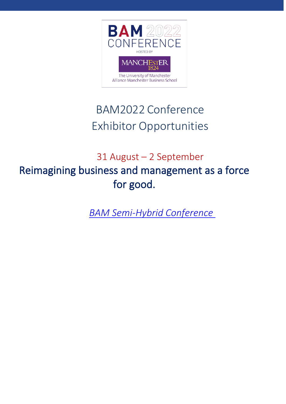

# BAM2022 Conference Exhibitor Opportunities

# 31 August – 2 September Reimagining business and management as a force for good.

*BAM Semi-Hybrid Conference*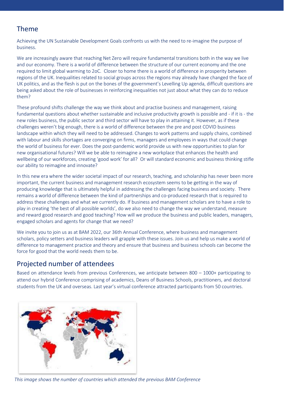#### Theme

Achieving the UN Sustainable Development Goals confronts us with the need to re-imagine the purpose of business.

We are increasingly aware that reaching Net Zero will require fundamental transitions both in the way we live and our economy. There is a world of difference between the structure of our current economy and the one required to limit global warming to 2oC. Closer to home there is a world of difference in prosperity between regions of the UK. Inequalities related to social groups across the regions may already have changed the face of UK politics, and as the flesh is put on the bones of the government's Levelling Up agenda, difficult questions are being asked about the role of businesses in reinforcing inequalities not just about what they can do to reduce them?

These profound shifts challenge the way we think about and practise business and management, raising fundamental questions about whether sustainable and inclusive productivity growth is possible and - if it is - the new roles business, the public sector and third sector will have to play in attaining it. However, as if these challenges weren't big enough, there is a world of difference between the pre and post COVID business landscape within which they will need to be addressed. Changes to work patterns and supply chains, combined with labour and skills shortages are converging on firms, managers and employees in ways that could change the world of business for ever. Does the post-pandemic world provide us with new opportunities to plan for new organisational futures? Will we be able to reimagine a new workplace that enhances the health and wellbeing of our workforces, creating 'good work' for all? Or will standard economic and business thinking stifle our ability to reimagine and innovate?

In this new era where the wider societal impact of our research, teaching, and scholarship has never been more important, the current business and management research ecosystem seems to be getting in the way of producing knowledge that is ultimately helpful in addressing the challenges facing business and society. There remains a world of difference between the kind of partnerships and co-produced research that is required to address these challenges and what we currently do. If business and management scholars are to have a role to play in creating 'the best of all possible worlds', do we also need to change the way we understand, measure and reward good research and good teaching? How will we produce the business and public leaders, managers, engaged scholars and agents for change that we need?

We invite you to join us as at BAM 2022, our 36th Annual Conference, where business and management scholars, policy setters and business leaders will grapple with these issues. Join us and help us make a world of difference to management practice and theory and ensure that business and business schools can become the force for good that the world needs them to be.

#### Projected number of attendees

Based on attendance levels from previous Conferences, we anticipate between 800 – 1000+ participating to attend our hybrid Conference comprising of academics, Deans of Business Schools, practitioners, and doctoral students from the UK and overseas. Last year's virtual conference attracted participants from 50 countries.



*This image shows the number of countries which attended the previous BAM Conference*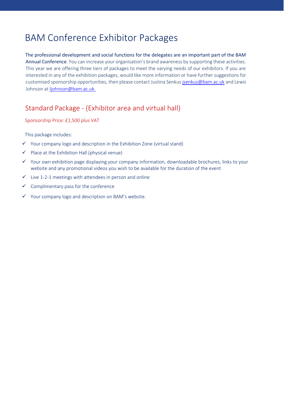## BAM Conference Exhibitor Packages

The professional development and social functions for the delegates are an important part of the BAM Annual Conference. You can increase your organisation's brand awareness by supporting these activities. This year we are offering three tiers of packages to meet the varying needs of our exhibitors. If you are interested in any of the exhibition packages, would like more information or have further suggestions for customised sponsorship opportunities, then please contact Justina Senkus [jsenkus@bam.ac.uk](mailto:jsenkus@bam.ac.uk) and Lewis Johnson at [ljohnson@bam.ac.uk.](mailto:ljohnson@bam.ac.uk.)

#### Standard Package - (Exhibitor area and virtual hall)

Sponsorship Price: £1,500 plus VAT

This package includes:

- $\checkmark$  Your company logo and description in the Exhibition Zone (virtual stand)
- $\checkmark$  Place at the Exhibition Hall (physical venue)
- ✓ Your own exhibition page displaying your company information, downloadable brochures, links to your website and any promotional videos you wish to be available for the duration of the event
- $\checkmark$  Live 1-2-1 meetings with attendees in person and online
- ✓ Complimentary pass for the conference
- ✓ Your company logo and description on BAM's website.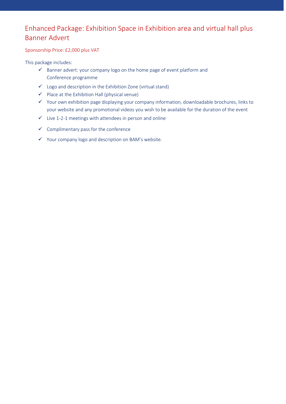### Enhanced Package: Exhibition Space in Exhibition area and virtual hall plus Banner Advert

#### Sponsorship Price: £2,000 plus VAT

This package includes:

- ✓ Banner advert: your company logo on the home page of event platform and Conference programme
- ✓ Logo and description in the Exhibition Zone (virtual stand)
- ✓ Place at the Exhibition Hall (physical venue)
- ✓ Your own exhibition page displaying your company information, downloadable brochures, links to your website and any promotional videos you wish to be available for the duration of the event
- ✓ Live 1-2-1 meetings with attendees in person and online
- ✓ Complimentary pass for the conference
- ✓ Your company logo and description on BAM's website.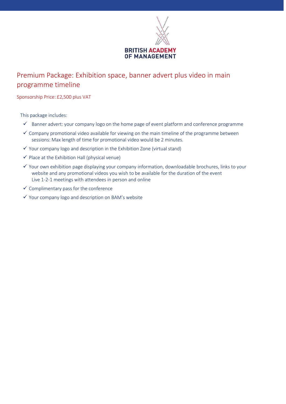

### Premium Package: Exhibition space, banner advert plus video in main programme timeline

Sponsorship Price: £2,500 plus VAT

This package includes:

- ✓ Banner advert: your company logo on the home page of event platform and conference programme
- $\checkmark$  Company promotional video available for viewing on the main timeline of the programme between sessions: Max length of time for promotional video would be 2 minutes.
- $\checkmark$  Your company logo and description in the Exhibition Zone (virtual stand)
- $\checkmark$  Place at the Exhibition Hall (physical venue)
- ✓ Your own exhibition page displaying your company information, downloadable brochures, links to your website and any promotional videos you wish to be available for the duration of the event Live 1-2-1 meetings with attendees in person and online
- $\checkmark$  Complimentary pass for the conference
- ✓ Your company logo and description on BAM's website